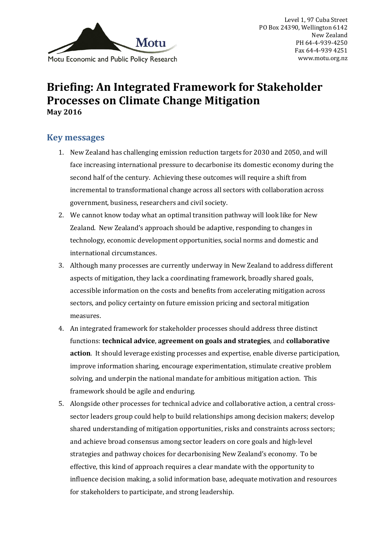

# **Briefing: An Integrated Framework for Stakeholder Processes on Climate Change Mitigation May 2016**

## **Key messages**

- 1. New Zealand has challenging emission reduction targets for 2030 and 2050, and will face increasing international pressure to decarbonise its domestic economy during the second half of the century. Achieving these outcomes will require a shift from incremental to transformational change across all sectors with collaboration across government, business, researchers and civil society.
- 2. We cannot know today what an optimal transition pathway will look like for New Zealand. New Zealand's approach should be adaptive, responding to changes in technology, economic development opportunities, social norms and domestic and international circumstances.
- 3. Although many processes are currently underway in New Zealand to address different aspects of mitigation, they lack a coordinating framework, broadly shared goals, accessible information on the costs and benefits from accelerating mitigation across sectors, and policy certainty on future emission pricing and sectoral mitigation measures.
- 4. An integrated framework for stakeholder processes should address three distinct functions: **technical advice**, **agreement on goals and strategies**, and **collaborative action**. It should leverage existing processes and expertise, enable diverse participation, improve information sharing, encourage experimentation, stimulate creative problem solving, and underpin the national mandate for ambitious mitigation action. This framework should be agile and enduring.
- 5. Alongside other processes for technical advice and collaborative action, a central crosssector leaders group could help to build relationships among decision makers; develop shared understanding of mitigation opportunities, risks and constraints across sectors; and achieve broad consensus among sector leaders on core goals and high-level strategies and pathway choices for decarbonising New Zealand's economy. To be effective, this kind of approach requires a clear mandate with the opportunity to influence decision making, a solid information base, adequate motivation and resources for stakeholders to participate, and strong leadership.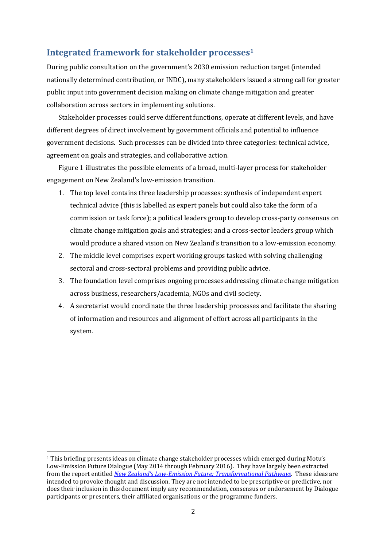#### **Integrated framework for stakeholder processes<sup>1</sup>**

During public consultation on the government's 2030 emission reduction target (intended nationally determined contribution, or INDC), many stakeholders issued a strong call for greater public input into government decision making on climate change mitigation and greater collaboration across sectors in implementing solutions.

Stakeholder processes could serve different functions, operate at different levels, and have different degrees of direct involvement by government officials and potential to influence government decisions. Such processes can be divided into three categories: technical advice, agreement on goals and strategies, and collaborative action.

Figure 1 illustrates the possible elements of a broad, multi-layer process for stakeholder engagement on New Zealand's low-emission transition.

- 1. The top level contains three leadership processes: synthesis of independent expert technical advice (this is labelled as expert panels but could also take the form of a commission or task force); a political leaders group to develop cross-party consensus on climate change mitigation goals and strategies; and a cross-sector leaders group which would produce a shared vision on New Zealand's transition to a low-emission economy.
- 2. The middle level comprises expert working groups tasked with solving challenging sectoral and cross-sectoral problems and providing public advice.
- 3. The foundation level comprises ongoing processes addressing climate change mitigation across business, researchers/academia, NGOs and civil society.
- 4. A secretariat would coordinate the three leadership processes and facilitate the sharing of information and resources and alignment of effort across all participants in the system.

<u>.</u>

<sup>1</sup> This briefing presents ideas on climate change stakeholder processes which emerged during Motu's Low-Emission Future Dialogue (May 2014 through February 2016). They have largely been extracted from the report entitled *New Zealand's Low[-Emission Future: Transformational Pathways](http://motu.nz/our-work/environment-and-resources/emission-mitigation/shaping-new-zealands-low-emissions-future/new-zealands-low-emission-future-transformational-pathways-to-2050/)*. These ideas are intended to provoke thought and discussion. They are not intended to be prescriptive or predictive, nor does their inclusion in this document imply any recommendation, consensus or endorsement by Dialogue participants or presenters, their affiliated organisations or the programme funders.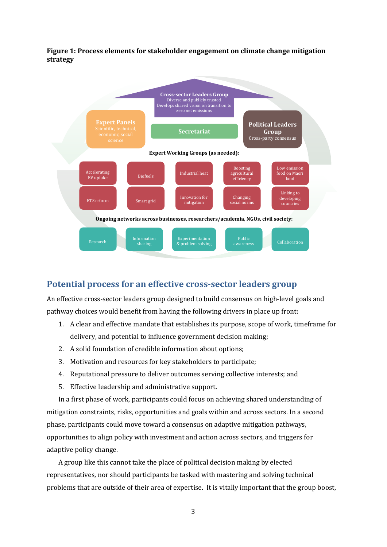**Figure 1: Process elements for stakeholder engagement on climate change mitigation strategy**



### **Potential process for an effective cross-sector leaders group**

An effective cross-sector leaders group designed to build consensus on high-level goals and pathway choices would benefit from having the following drivers in place up front:

- 1. A clear and effective mandate that establishes its purpose, scope of work, timeframe for delivery, and potential to influence government decision making;
- 2. A solid foundation of credible information about options;
- 3. Motivation and resources for key stakeholders to participate;
- 4. Reputational pressure to deliver outcomes serving collective interests; and
- 5. Effective leadership and administrative support.

In a first phase of work, participants could focus on achieving shared understanding of mitigation constraints, risks, opportunities and goals within and across sectors. In a second phase, participants could move toward a consensus on adaptive mitigation pathways, opportunities to align policy with investment and action across sectors, and triggers for adaptive policy change.

A group like this cannot take the place of political decision making by elected representatives, nor should participants be tasked with mastering and solving technical problems that are outside of their area of expertise. It is vitally important that the group boost,